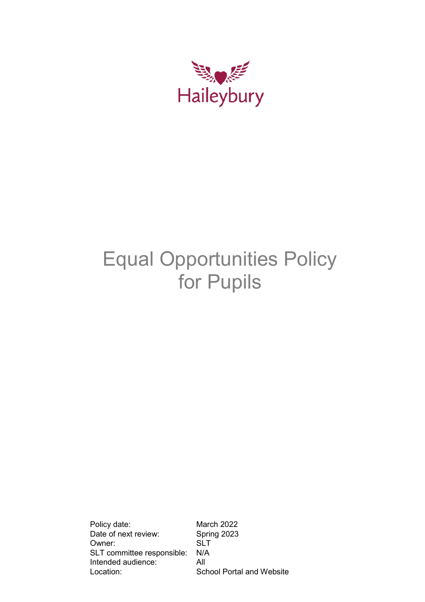

# Equal Opportunities Policy for Pupils

Policy date: March 2022 Date of next review: Spring 2023 Owner: SLT<br>SLT committee responsible: N/A SLT committee responsible: Intended audience: All Location: School Portal and Website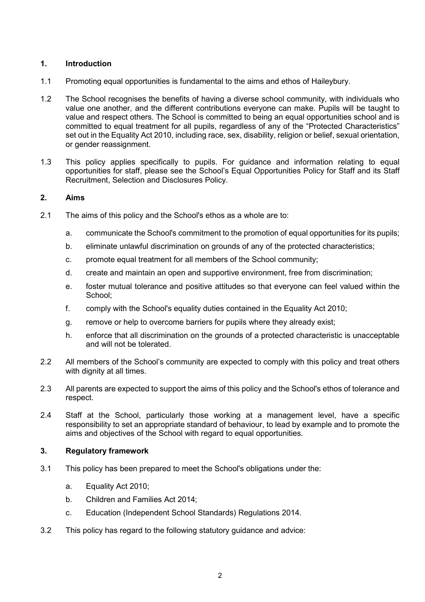# **1. Introduction**

- 1.1 Promoting equal opportunities is fundamental to the aims and ethos of Haileybury.
- 1.2 The School recognises the benefits of having a diverse school community, with individuals who value one another, and the different contributions everyone can make. Pupils will be taught to value and respect others. The School is committed to being an equal opportunities school and is committed to equal treatment for all pupils, regardless of any of the "Protected Characteristics" set out in the Equality Act 2010, including race, sex, disability, religion or belief, sexual orientation, or gender reassignment.
- 1.3 This policy applies specifically to pupils. For guidance and information relating to equal opportunities for staff, please see the School's Equal Opportunities Policy for Staff and its Staff Recruitment, Selection and Disclosures Policy.

#### **2. Aims**

- 2.1 The aims of this policy and the School's ethos as a whole are to:
	- a. communicate the School's commitment to the promotion of equal opportunities for its pupils;
	- b. eliminate unlawful discrimination on grounds of any of the protected characteristics;
	- c. promote equal treatment for all members of the School community;
	- d. create and maintain an open and supportive environment, free from discrimination;
	- e. foster mutual tolerance and positive attitudes so that everyone can feel valued within the School;
	- f. comply with the School's equality duties contained in the Equality Act 2010;
	- g. remove or help to overcome barriers for pupils where they already exist;
	- h. enforce that all discrimination on the grounds of a protected characteristic is unacceptable and will not be tolerated.
- 2.2 All members of the School's community are expected to comply with this policy and treat others with dignity at all times.
- 2.3 All parents are expected to support the aims of this policy and the School's ethos of tolerance and respect.
- 2.4 Staff at the School, particularly those working at a management level, have a specific responsibility to set an appropriate standard of behaviour, to lead by example and to promote the aims and objectives of the School with regard to equal opportunities.

## **3. Regulatory framework**

- 3.1 This policy has been prepared to meet the School's obligations under the:
	- a. Equality Act 2010;
	- b. Children and Families Act 2014;
	- c. Education (Independent School Standards) Regulations 2014.
- 3.2 This policy has regard to the following statutory guidance and advice: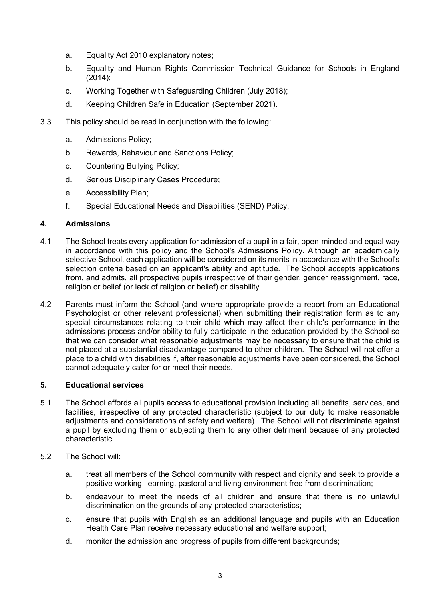- a. Equality Act 2010 explanatory notes;
- b. Equality and Human Rights Commission Technical Guidance for Schools in England (2014);
- c. Working Together with Safeguarding Children (July 2018);
- d. Keeping Children Safe in Education (September 2021).
- 3.3 This policy should be read in conjunction with the following:
	- a. Admissions Policy;
	- b. Rewards, Behaviour and Sanctions Policy;
	- c. Countering Bullying Policy;
	- d. Serious Disciplinary Cases Procedure;
	- e. Accessibility Plan;
	- f. Special Educational Needs and Disabilities (SEND) Policy.

#### **4. Admissions**

- 4.1 The School treats every application for admission of a pupil in a fair, open-minded and equal way in accordance with this policy and the School's Admissions Policy. Although an academically selective School, each application will be considered on its merits in accordance with the School's selection criteria based on an applicant's ability and aptitude. The School accepts applications from, and admits, all prospective pupils irrespective of their gender, gender reassignment, race, religion or belief (or lack of religion or belief) or disability.
- 4.2 Parents must inform the School (and where appropriate provide a report from an Educational Psychologist or other relevant professional) when submitting their registration form as to any special circumstances relating to their child which may affect their child's performance in the admissions process and/or ability to fully participate in the education provided by the School so that we can consider what reasonable adjustments may be necessary to ensure that the child is not placed at a substantial disadvantage compared to other children. The School will not offer a place to a child with disabilities if, after reasonable adjustments have been considered, the School cannot adequately cater for or meet their needs.

#### **5. Educational services**

- 5.1 The School affords all pupils access to educational provision including all benefits, services, and facilities, irrespective of any protected characteristic (subject to our duty to make reasonable adjustments and considerations of safety and welfare). The School will not discriminate against a pupil by excluding them or subjecting them to any other detriment because of any protected characteristic.
- 5.2 The School will:
	- a. treat all members of the School community with respect and dignity and seek to provide a positive working, learning, pastoral and living environment free from discrimination;
	- b. endeavour to meet the needs of all children and ensure that there is no unlawful discrimination on the grounds of any protected characteristics;
	- c. ensure that pupils with English as an additional language and pupils with an Education Health Care Plan receive necessary educational and welfare support;
	- d. monitor the admission and progress of pupils from different backgrounds;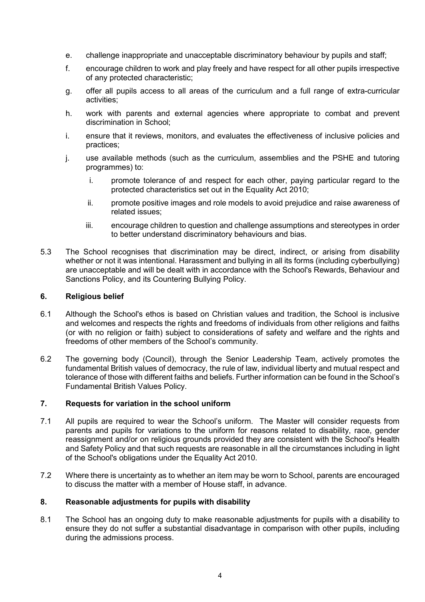- e. challenge inappropriate and unacceptable discriminatory behaviour by pupils and staff;
- f. encourage children to work and play freely and have respect for all other pupils irrespective of any protected characteristic;
- g. offer all pupils access to all areas of the curriculum and a full range of extra-curricular activities;
- h. work with parents and external agencies where appropriate to combat and prevent discrimination in School;
- i. ensure that it reviews, monitors, and evaluates the effectiveness of inclusive policies and practices;
- j. use available methods (such as the curriculum, assemblies and the PSHE and tutoring programmes) to:
	- i. promote tolerance of and respect for each other, paying particular regard to the protected characteristics set out in the Equality Act 2010;
	- ii. promote positive images and role models to avoid prejudice and raise awareness of related issues;
	- iii. encourage children to question and challenge assumptions and stereotypes in order to better understand discriminatory behaviours and bias.
- 5.3 The School recognises that discrimination may be direct, indirect, or arising from disability whether or not it was intentional. Harassment and bullying in all its forms (including cyberbullying) are unacceptable and will be dealt with in accordance with the School's Rewards, Behaviour and Sanctions Policy, and its Countering Bullying Policy.

#### **6. Religious belief**

- 6.1 Although the School's ethos is based on Christian values and tradition, the School is inclusive and welcomes and respects the rights and freedoms of individuals from other religions and faiths (or with no religion or faith) subject to considerations of safety and welfare and the rights and freedoms of other members of the School's community.
- 6.2 The governing body (Council), through the Senior Leadership Team, actively promotes the fundamental British values of democracy, the rule of law, individual liberty and mutual respect and tolerance of those with different faiths and beliefs. Further information can be found in the School's Fundamental British Values Policy.

#### **7. Requests for variation in the school uniform**

- 7.1 All pupils are required to wear the School's uniform. The Master will consider requests from parents and pupils for variations to the uniform for reasons related to disability, race, gender reassignment and/or on religious grounds provided they are consistent with the School's Health and Safety Policy and that such requests are reasonable in all the circumstances including in light of the School's obligations under the Equality Act 2010.
- 7.2 Where there is uncertainty as to whether an item may be worn to School, parents are encouraged to discuss the matter with a member of House staff, in advance.

#### **8. Reasonable adjustments for pupils with disability**

8.1 The School has an ongoing duty to make reasonable adjustments for pupils with a disability to ensure they do not suffer a substantial disadvantage in comparison with other pupils, including during the admissions process.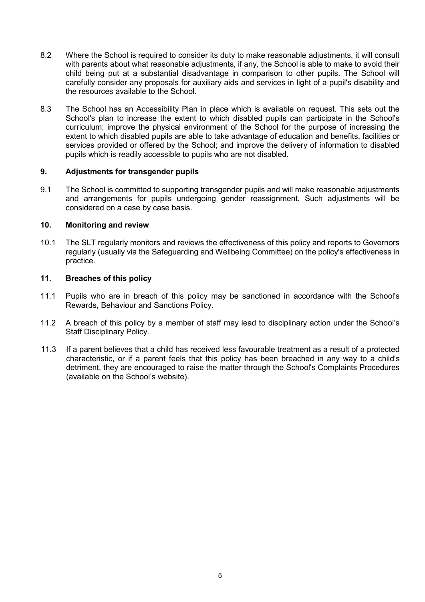- 8.2 Where the School is required to consider its duty to make reasonable adjustments, it will consult with parents about what reasonable adjustments, if any, the School is able to make to avoid their child being put at a substantial disadvantage in comparison to other pupils. The School will carefully consider any proposals for auxiliary aids and services in light of a pupil's disability and the resources available to the School.
- 8.3 The School has an Accessibility Plan in place which is available on request. This sets out the School's plan to increase the extent to which disabled pupils can participate in the School's curriculum; improve the physical environment of the School for the purpose of increasing the extent to which disabled pupils are able to take advantage of education and benefits, facilities or services provided or offered by the School; and improve the delivery of information to disabled pupils which is readily accessible to pupils who are not disabled.

#### **9. Adjustments for transgender pupils**

9.1 The School is committed to supporting transgender pupils and will make reasonable adjustments and arrangements for pupils undergoing gender reassignment. Such adjustments will be considered on a case by case basis.

## **10. Monitoring and review**

10.1 The SLT regularly monitors and reviews the effectiveness of this policy and reports to Governors regularly (usually via the Safeguarding and Wellbeing Committee) on the policy's effectiveness in practice.

#### **11. Breaches of this policy**

- 11.1 Pupils who are in breach of this policy may be sanctioned in accordance with the School's Rewards, Behaviour and Sanctions Policy.
- 11.2 A breach of this policy by a member of staff may lead to disciplinary action under the School's Staff Disciplinary Policy.
- 11.3 If a parent believes that a child has received less favourable treatment as a result of a protected characteristic, or if a parent feels that this policy has been breached in any way to a child's detriment, they are encouraged to raise the matter through the School's Complaints Procedures (available on the School's website).